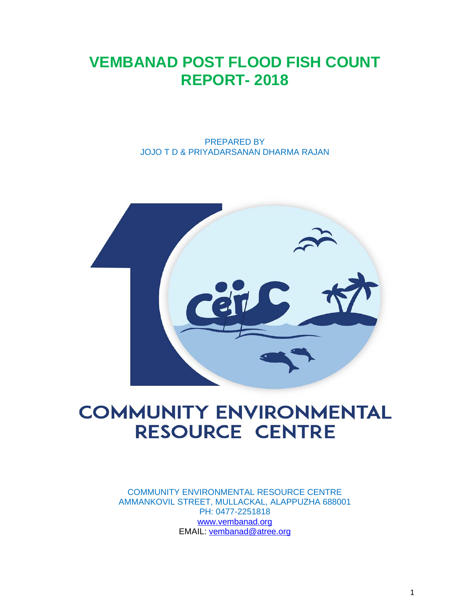# **VEMBANAD POST FLOOD FISH COUNT REPORT- 2018**

PREPARED BY JOJO T D & PRIYADARSANAN DHARMA RAJAN



# **COMMUNITY ENVIRONMENTAL RESOURCE CENTRE**

COMMUNITY ENVIRONMENTAL RESOURCE CENTRE AMMANKOVIL STREET, MULLACKAL, ALAPPUZHA 688001 PH: 0477-2251818 [www.vembanad.org](http://www.vembanad.org/) EMAIL: [vembanad@atree.org](mailto:vembanad@atree.org)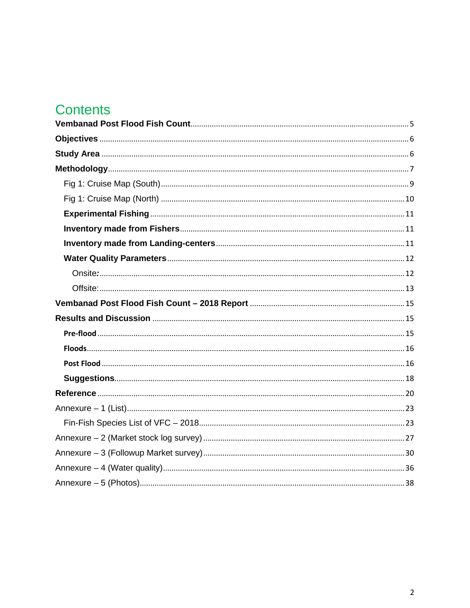# **Contents**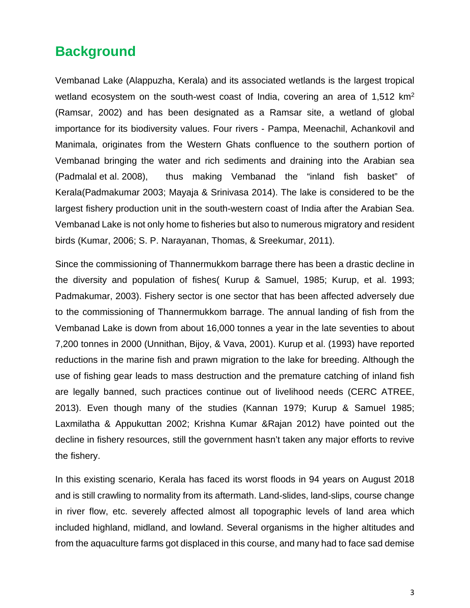## **Background**

Vembanad Lake (Alappuzha, Kerala) and its associated wetlands is the largest tropical wetland ecosystem on the south-west coast of India, covering an area of 1,512 km<sup>2</sup> (Ramsar, 2002) and has been designated as a Ramsar site, a wetland of global importance for its biodiversity values. Four rivers - Pampa, Meenachil, Achankovil and Manimala, originates from the Western Ghats confluence to the southern portion of Vembanad bringing the water and rich sediments and draining into the Arabian sea (Padmalal et al. 2008), thus making Vembanad the "inland fish basket" of Kerala(Padmakumar 2003; Mayaja & Srinivasa 2014). The lake is considered to be the largest fishery production unit in the south-western coast of India after the Arabian Sea. Vembanad Lake is not only home to fisheries but also to numerous migratory and resident birds (Kumar, 2006; S. P. Narayanan, Thomas, & Sreekumar, 2011).

Since the commissioning of Thannermukkom barrage there has been a drastic decline in the diversity and population of fishes( Kurup & Samuel, 1985; Kurup, et al. 1993; Padmakumar, 2003). Fishery sector is one sector that has been affected adversely due to the commissioning of Thannermukkom barrage. The annual landing of fish from the Vembanad Lake is down from about 16,000 tonnes a year in the late seventies to about 7,200 tonnes in 2000 (Unnithan, Bijoy, & Vava, 2001). Kurup et al. (1993) have reported reductions in the marine fish and prawn migration to the lake for breeding. Although the use of fishing gear leads to mass destruction and the premature catching of inland fish are legally banned, such practices continue out of livelihood needs (CERC ATREE, 2013). Even though many of the studies (Kannan 1979; Kurup & Samuel 1985; Laxmilatha & Appukuttan 2002; Krishna Kumar &Rajan 2012) have pointed out the decline in fishery resources, still the government hasn't taken any major efforts to revive the fishery.

In this existing scenario, Kerala has faced its worst floods in 94 years on August 2018 and is still crawling to normality from its aftermath. Land-slides, land-slips, course change in river flow, etc. severely affected almost all topographic levels of land area which included highland, midland, and lowland. Several organisms in the higher altitudes and from the aquaculture farms got displaced in this course, and many had to face sad demise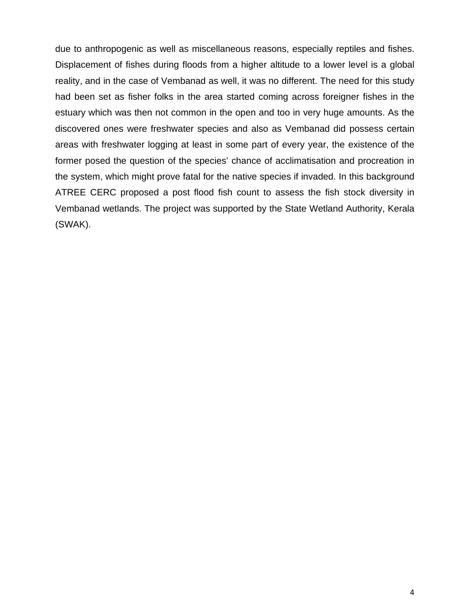due to anthropogenic as well as miscellaneous reasons, especially reptiles and fishes. Displacement of fishes during floods from a higher altitude to a lower level is a global reality, and in the case of Vembanad as well, it was no different. The need for this study had been set as fisher folks in the area started coming across foreigner fishes in the estuary which was then not common in the open and too in very huge amounts. As the discovered ones were freshwater species and also as Vembanad did possess certain areas with freshwater logging at least in some part of every year, the existence of the former posed the question of the species' chance of acclimatisation and procreation in the system, which might prove fatal for the native species if invaded. In this background ATREE CERC proposed a post flood fish count to assess the fish stock diversity in Vembanad wetlands. The project was supported by the State Wetland Authority, Kerala (SWAK).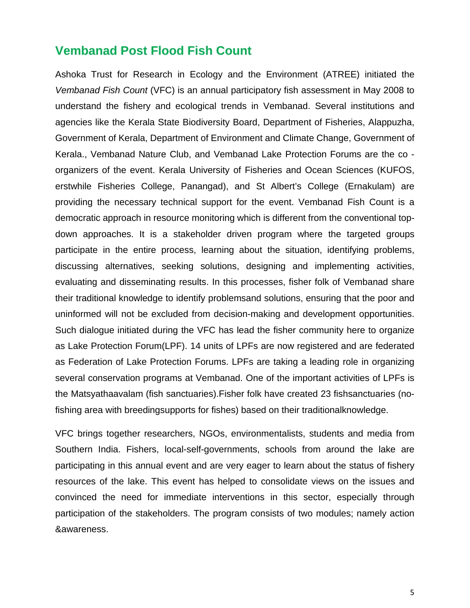### <span id="page-4-0"></span>**Vembanad Post Flood Fish Count**

Ashoka Trust for Research in Ecology and the Environment (ATREE) initiated the *Vembanad Fish Count* (VFC) is an annual participatory fish assessment in May 2008 to understand the fishery and ecological trends in Vembanad. Several institutions and agencies like the Kerala State Biodiversity Board, Department of Fisheries, Alappuzha, Government of Kerala, Department of Environment and Climate Change, Government of Kerala., Vembanad Nature Club, and Vembanad Lake Protection Forums are the co organizers of the event. Kerala University of Fisheries and Ocean Sciences (KUFOS, erstwhile Fisheries College, Panangad), and St Albert's College (Ernakulam) are providing the necessary technical support for the event. Vembanad Fish Count is a democratic approach in resource monitoring which is different from the conventional topdown approaches. It is a stakeholder driven program where the targeted groups participate in the entire process, learning about the situation, identifying problems, discussing alternatives, seeking solutions, designing and implementing activities, evaluating and disseminating results. In this processes, fisher folk of Vembanad share their traditional knowledge to identify problemsand solutions, ensuring that the poor and uninformed will not be excluded from decision-making and development opportunities. Such dialogue initiated during the VFC has lead the fisher community here to organize as Lake Protection Forum(LPF). 14 units of LPFs are now registered and are federated as Federation of Lake Protection Forums. LPFs are taking a leading role in organizing several conservation programs at Vembanad. One of the important activities of LPFs is the Matsyathaavalam (fish sanctuaries).Fisher folk have created 23 fishsanctuaries (nofishing area with breedingsupports for fishes) based on their traditionalknowledge.

VFC brings together researchers, NGOs, environmentalists, students and media from Southern India. Fishers, local-self-governments, schools from around the lake are participating in this annual event and are very eager to learn about the status of fishery resources of the lake. This event has helped to consolidate views on the issues and convinced the need for immediate interventions in this sector, especially through participation of the stakeholders. The program consists of two modules; namely action &awareness.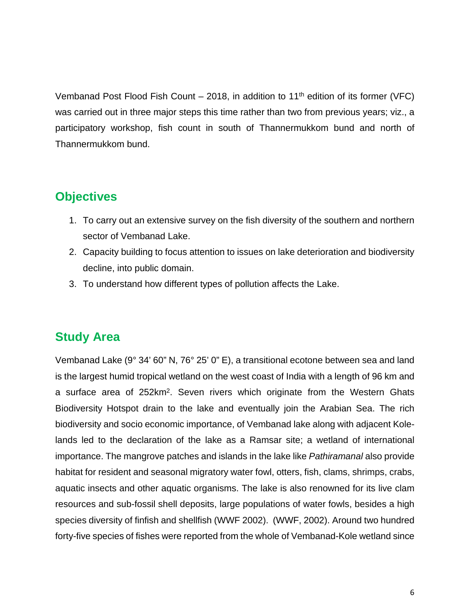Vembanad Post Flood Fish Count – 2018, in addition to 11<sup>th</sup> edition of its former (VFC) was carried out in three major steps this time rather than two from previous years; viz., a participatory workshop, fish count in south of Thannermukkom bund and north of Thannermukkom bund.

## <span id="page-5-0"></span>**Objectives**

- 1. To carry out an extensive survey on the fish diversity of the southern and northern sector of Vembanad Lake.
- 2. Capacity building to focus attention to issues on lake deterioration and biodiversity decline, into public domain.
- 3. To understand how different types of pollution affects the Lake.

### <span id="page-5-1"></span>**Study Area**

Vembanad Lake (9° 34' 60" N, 76° 25' 0" E), a transitional ecotone between sea and land is the largest humid tropical wetland on the west coast of India with a length of 96 km and a surface area of 252km2. Seven rivers which originate from the Western Ghats Biodiversity Hotspot drain to the lake and eventually join the Arabian Sea. The rich biodiversity and socio economic importance, of Vembanad lake along with adjacent Kolelands led to the declaration of the lake as a Ramsar site; a wetland of international importance. The mangrove patches and islands in the lake like *Pathiramanal* also provide habitat for resident and seasonal migratory water fowl, otters, fish, clams, shrimps, crabs, aquatic insects and other aquatic organisms. The lake is also renowned for its live clam resources and sub-fossil shell deposits, large populations of water fowls, besides a high species diversity of finfish and shellfish (WWF 2002). (WWF, 2002). Around two hundred forty-five species of fishes were reported from the whole of Vembanad-Kole wetland since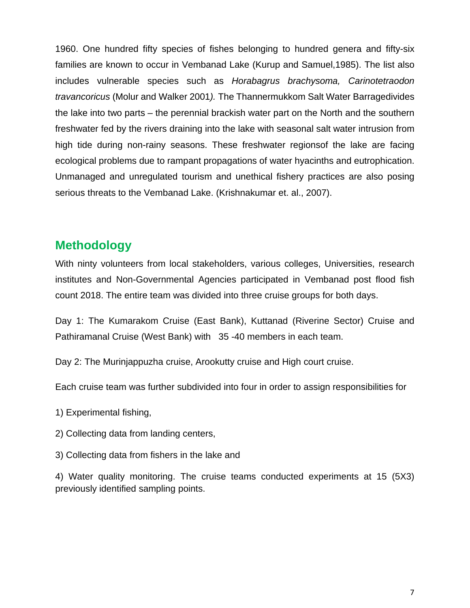1960. One hundred fifty species of fishes belonging to hundred genera and fifty-six families are known to occur in Vembanad Lake (Kurup and Samuel,1985). The list also includes vulnerable species such as *Horabagrus brachysoma, Carinotetraodon travancoricus* (Molur and Walker 2001*).* The Thannermukkom Salt Water Barragedivides the lake into two parts – the perennial brackish water part on the North and the southern freshwater fed by the rivers draining into the lake with seasonal salt water intrusion from high tide during non-rainy seasons. These freshwater regionsof the lake are facing ecological problems due to rampant propagations of water hyacinths and eutrophication. Unmanaged and unregulated tourism and unethical fishery practices are also posing serious threats to the Vembanad Lake. (Krishnakumar et. al., 2007).

### <span id="page-6-0"></span>**Methodology**

With ninty volunteers from local stakeholders, various colleges, Universities, research institutes and Non-Governmental Agencies participated in Vembanad post flood fish count 2018. The entire team was divided into three cruise groups for both days.

Day 1: The Kumarakom Cruise (East Bank), Kuttanad (Riverine Sector) Cruise and Pathiramanal Cruise (West Bank) with 35 -40 members in each team.

Day 2: The Murinjappuzha cruise, Arookutty cruise and High court cruise.

Each cruise team was further subdivided into four in order to assign responsibilities for

- 1) Experimental fishing,
- 2) Collecting data from landing centers,
- 3) Collecting data from fishers in the lake and

4) Water quality monitoring. The cruise teams conducted experiments at 15 (5X3) previously identified sampling points.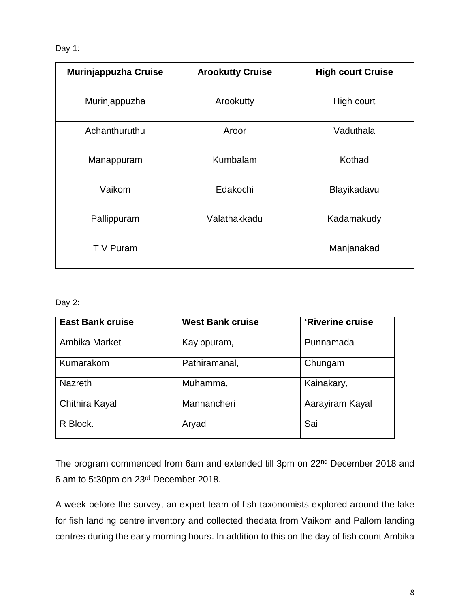#### Day 1:

| Murinjappuzha Cruise | <b>Arookutty Cruise</b> | <b>High court Cruise</b> |
|----------------------|-------------------------|--------------------------|
| Murinjappuzha        | Arookutty               | High court               |
| Achanthuruthu        | Aroor                   | Vaduthala                |
| Manappuram           | Kumbalam                | Kothad                   |
| Vaikom               | Edakochi                | Blayikadavu              |
| Pallippuram          | Valathakkadu            | Kadamakudy               |
| T V Puram            |                         | Manjanakad               |

#### Day 2:

| <b>East Bank cruise</b> | <b>West Bank cruise</b> | 'Riverine cruise |
|-------------------------|-------------------------|------------------|
| Ambika Market           | Kayippuram,             | Punnamada        |
| Kumarakom               | Pathiramanal,           | Chungam          |
| <b>Nazreth</b>          | Muhamma,                | Kainakary,       |
| Chithira Kayal          | Mannancheri             | Aarayiram Kayal  |
| R Block.                | Aryad                   | Sai              |

The program commenced from 6am and extended till 3pm on 22nd December 2018 and 6 am to 5:30pm on 23rd December 2018.

A week before the survey, an expert team of fish taxonomists explored around the lake for fish landing centre inventory and collected thedata from Vaikom and Pallom landing centres during the early morning hours. In addition to this on the day of fish count Ambika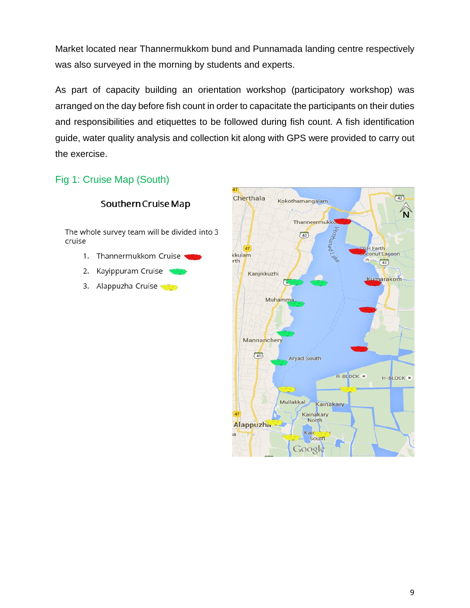Market located near Thannermukkom bund and Punnamada landing centre respectively was also surveyed in the morning by students and experts.

As part of capacity building an orientation workshop (participatory workshop) was arranged on the day before fish count in order to capacitate the participants on their duties and responsibilities and etiquettes to be followed during fish count. A fish identification guide, water quality analysis and collection kit along with GPS were provided to carry out the exercise.

### <span id="page-8-0"></span>Fig 1: Cruise Map (South)



Southern Cruise Map

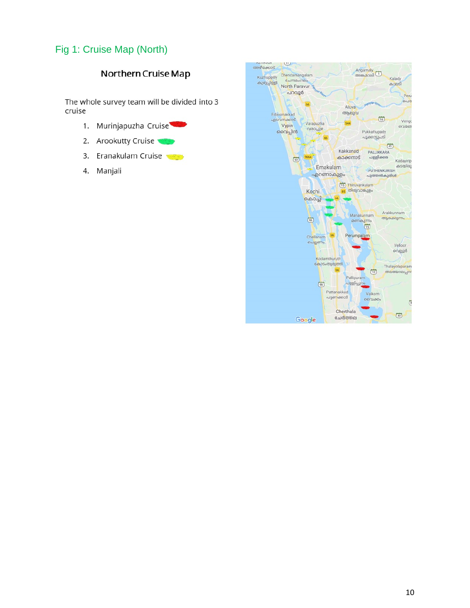### <span id="page-9-0"></span>Fig 1: Cruise Map (North)

### Northern Cruise Map

The whole survey team will be divided into 3 cruise

- 1. Murinjapuzha Cruise
- Arookutty Cruise  $2.$
- 3. Eranakulam Cruise
- Manjali 4.

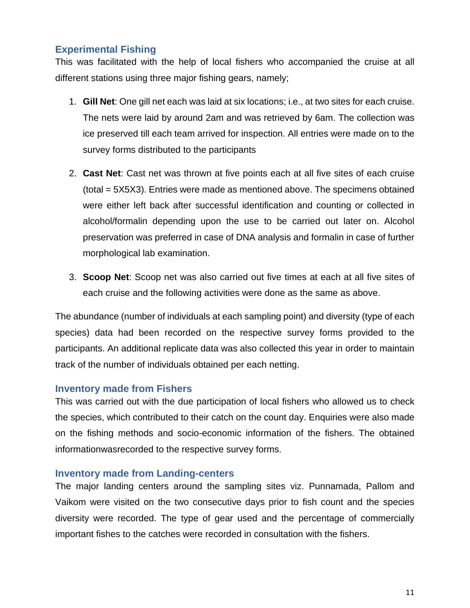### <span id="page-10-0"></span>**Experimental Fishing**

This was facilitated with the help of local fishers who accompanied the cruise at all different stations using three major fishing gears, namely;

- 1. **Gill Net**: One gill net each was laid at six locations; i.e., at two sites for each cruise. The nets were laid by around 2am and was retrieved by 6am. The collection was ice preserved till each team arrived for inspection. All entries were made on to the survey forms distributed to the participants
- 2. **Cast Net**: Cast net was thrown at five points each at all five sites of each cruise (total = 5X5X3). Entries were made as mentioned above. The specimens obtained were either left back after successful identification and counting or collected in alcohol/formalin depending upon the use to be carried out later on. Alcohol preservation was preferred in case of DNA analysis and formalin in case of further morphological lab examination.
- 3. **Scoop Net**: Scoop net was also carried out five times at each at all five sites of each cruise and the following activities were done as the same as above.

The abundance (number of individuals at each sampling point) and diversity (type of each species) data had been recorded on the respective survey forms provided to the participants. An additional replicate data was also collected this year in order to maintain track of the number of individuals obtained per each netting.

### <span id="page-10-1"></span>**Inventory made from Fishers**

This was carried out with the due participation of local fishers who allowed us to check the species, which contributed to their catch on the count day. Enquiries were also made on the fishing methods and socio-economic information of the fishers. The obtained informationwasrecorded to the respective survey forms.

#### <span id="page-10-2"></span>**Inventory made from Landing-centers**

The major landing centers around the sampling sites viz. Punnamada, Pallom and Vaikom were visited on the two consecutive days prior to fish count and the species diversity were recorded. The type of gear used and the percentage of commercially important fishes to the catches were recorded in consultation with the fishers.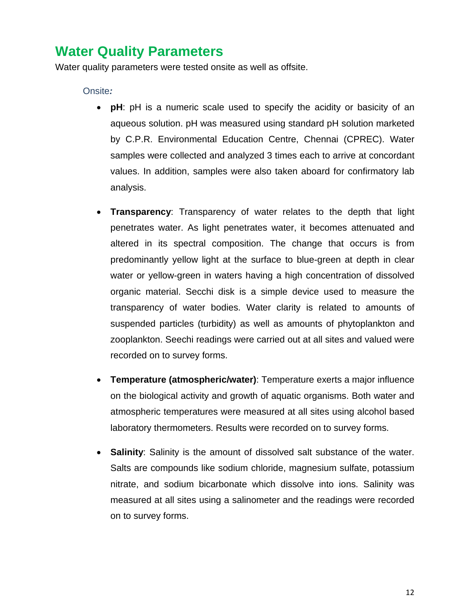## <span id="page-11-0"></span>**Water Quality Parameters**

Water quality parameters were tested onsite as well as offsite.

#### <span id="page-11-1"></span>Onsite*:*

- **pH**: pH is a numeric scale used to specify the acidity or basicity of an aqueous solution. pH was measured using standard pH solution marketed by C.P.R. Environmental Education Centre, Chennai (CPREC). Water samples were collected and analyzed 3 times each to arrive at concordant values. In addition, samples were also taken aboard for confirmatory lab analysis.
- **Transparency**: Transparency of water relates to the depth that light penetrates water. As light penetrates water, it becomes attenuated and altered in its spectral composition. The change that occurs is from predominantly yellow light at the surface to blue-green at depth in clear water or yellow-green in waters having a high concentration of dissolved organic material. Secchi disk is a simple device used to measure the transparency of water bodies. Water clarity is related to amounts of suspended particles (turbidity) as well as amounts of phytoplankton and zooplankton. Seechi readings were carried out at all sites and valued were recorded on to survey forms.
- **Temperature (atmospheric/water)**: Temperature exerts a major influence on the biological activity and growth of aquatic organisms. Both water and atmospheric temperatures were measured at all sites using alcohol based laboratory thermometers. Results were recorded on to survey forms.
- **Salinity**: Salinity is the amount of dissolved salt substance of the water. Salts are compounds like sodium chloride, magnesium sulfate, potassium nitrate, and sodium bicarbonate which dissolve into ions. Salinity was measured at all sites using a salinometer and the readings were recorded on to survey forms.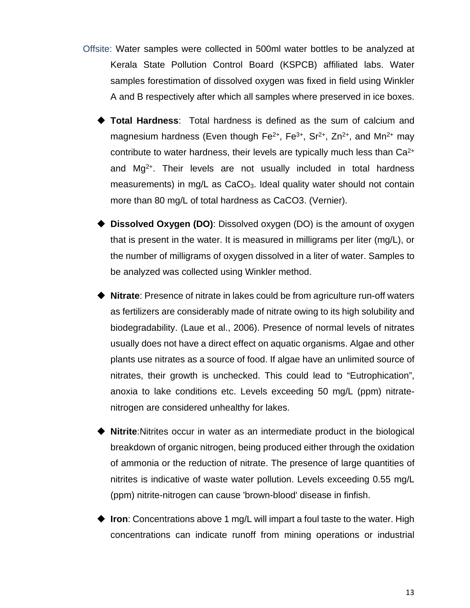- <span id="page-12-0"></span>Offsite: Water samples were collected in 500ml water bottles to be analyzed at Kerala State Pollution Control Board (KSPCB) affiliated labs. Water samples forestimation of dissolved oxygen was fixed in field using Winkler A and B respectively after which all samples where preserved in ice boxes.
	- **Total Hardness**: Total hardness is defined as the sum of calcium and magnesium hardness (Even though  $Fe^{2+}$ ,  $Fe^{3+}$ ,  $Sr^{2+}$ ,  $Zn^{2+}$ , and Mn<sup>2+</sup> may contribute to water hardness, their levels are typically much less than Ca2+ and Mg2+. Their levels are not usually included in total hardness measurements) in mg/L as CaCO3. Ideal quality water should not contain more than 80 mg/L of total hardness as CaCO3. (Vernier).
	- **Dissolved Oxygen (DO)**: Dissolved oxygen (DO) is the amount of oxygen that is present in the water. It is measured in milligrams per liter (mg/L), or the number of milligrams of oxygen dissolved in a liter of water. Samples to be analyzed was collected using Winkler method.
	- **Nitrate**: Presence of nitrate in lakes could be from agriculture run-off waters as fertilizers are considerably made of nitrate owing to its high solubility and biodegradability. (Laue et al., 2006). Presence of normal levels of nitrates usually does not have a direct effect on aquatic organisms. Algae and other plants use nitrates as a source of food. If algae have an unlimited source of nitrates, their growth is unchecked. This could lead to "Eutrophication", anoxia to lake conditions etc. Levels exceeding 50 mg/L (ppm) nitratenitrogen are considered unhealthy for lakes.
	- **Nitrite**:Nitrites occur in water as an intermediate product in the biological breakdown of organic nitrogen, being produced either through the oxidation of ammonia or the reduction of nitrate. The presence of large quantities of nitrites is indicative of waste water pollution. Levels exceeding 0.55 mg/L (ppm) nitrite-nitrogen can cause 'brown-blood' disease in finfish.
	- ◆ Iron: Concentrations above 1 mg/L will impart a foul taste to the water. High concentrations can indicate runoff from mining operations or industrial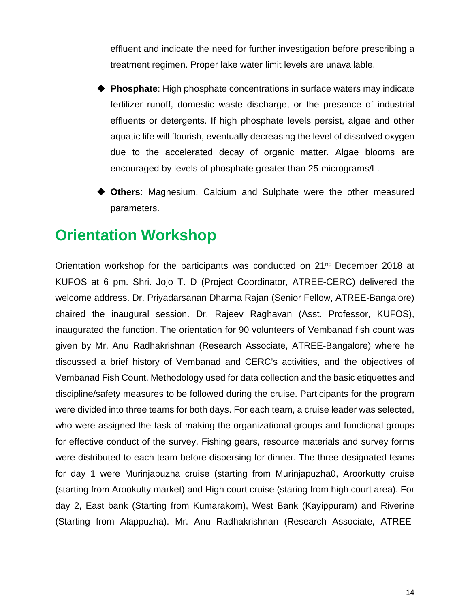effluent and indicate the need for further investigation before prescribing a treatment regimen. Proper lake water limit levels are unavailable.

- **Phosphate**: High phosphate concentrations in surface waters may indicate fertilizer runoff, domestic waste discharge, or the presence of industrial effluents or detergents. If high phosphate levels persist, algae and other aquatic life will flourish, eventually decreasing the level of dissolved oxygen due to the accelerated decay of organic matter. Algae blooms are encouraged by levels of phosphate greater than 25 micrograms/L.
- **Others**: Magnesium, Calcium and Sulphate were the other measured parameters.

## **Orientation Workshop**

Orientation workshop for the participants was conducted on 21nd December 2018 at KUFOS at 6 pm. Shri. Jojo T. D (Project Coordinator, ATREE-CERC) delivered the welcome address. Dr. Priyadarsanan Dharma Rajan (Senior Fellow, ATREE-Bangalore) chaired the inaugural session. Dr. Rajeev Raghavan (Asst. Professor, KUFOS), inaugurated the function. The orientation for 90 volunteers of Vembanad fish count was given by Mr. Anu Radhakrishnan (Research Associate, ATREE-Bangalore) where he discussed a brief history of Vembanad and CERC's activities, and the objectives of Vembanad Fish Count. Methodology used for data collection and the basic etiquettes and discipline/safety measures to be followed during the cruise. Participants for the program were divided into three teams for both days. For each team, a cruise leader was selected, who were assigned the task of making the organizational groups and functional groups for effective conduct of the survey. Fishing gears, resource materials and survey forms were distributed to each team before dispersing for dinner. The three designated teams for day 1 were Murinjapuzha cruise (starting from Murinjapuzha0, Aroorkutty cruise (starting from Arookutty market) and High court cruise (staring from high court area). For day 2, East bank (Starting from Kumarakom), West Bank (Kayippuram) and Riverine (Starting from Alappuzha). Mr. Anu Radhakrishnan (Research Associate, ATREE-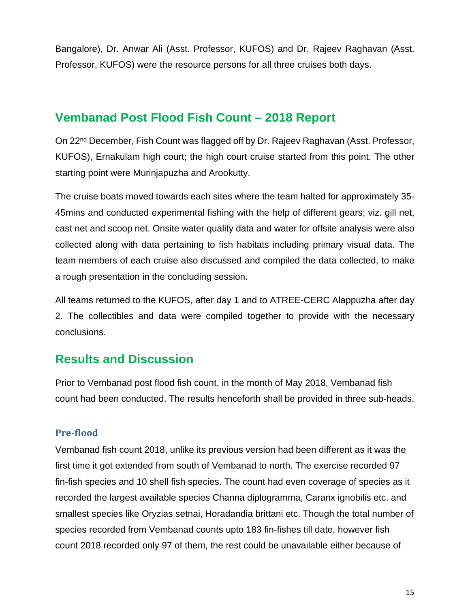Bangalore), Dr. Anwar Ali (Asst. Professor, KUFOS) and Dr. Rajeev Raghavan (Asst. Professor, KUFOS) were the resource persons for all three cruises both days.

### <span id="page-14-0"></span>**Vembanad Post Flood Fish Count – 2018 Report**

On 22nd December, Fish Count was flagged off by Dr. Rajeev Raghavan (Asst. Professor, KUFOS), Ernakulam high court; the high court cruise started from this point. The other starting point were Murinjapuzha and Arookutty.

The cruise boats moved towards each sites where the team halted for approximately 35- 45mins and conducted experimental fishing with the help of different gears; viz. gill net, cast net and scoop net. Onsite water quality data and water for offsite analysis were also collected along with data pertaining to fish habitats including primary visual data. The team members of each cruise also discussed and compiled the data collected, to make a rough presentation in the concluding session.

All teams returned to the KUFOS, after day 1 and to ATREE-CERC Alappuzha after day 2. The collectibles and data were compiled together to provide with the necessary conclusions.

### <span id="page-14-1"></span>**Results and Discussion**

Prior to Vembanad post flood fish count, in the month of May 2018, Vembanad fish count had been conducted. The results henceforth shall be provided in three sub-heads.

### <span id="page-14-2"></span>**Pre-flood**

Vembanad fish count 2018, unlike its previous version had been different as it was the first time it got extended from south of Vembanad to north. The exercise recorded 97 fin-fish species and 10 shell fish species. The count had even coverage of species as it recorded the largest available species Channa diplogramma, Caranx ignobilis etc. and smallest species like Oryzias setnai, Horadandia brittani etc. Though the total number of species recorded from Vembanad counts upto 183 fin-fishes till date, however fish count 2018 recorded only 97 of them, the rest could be unavailable either because of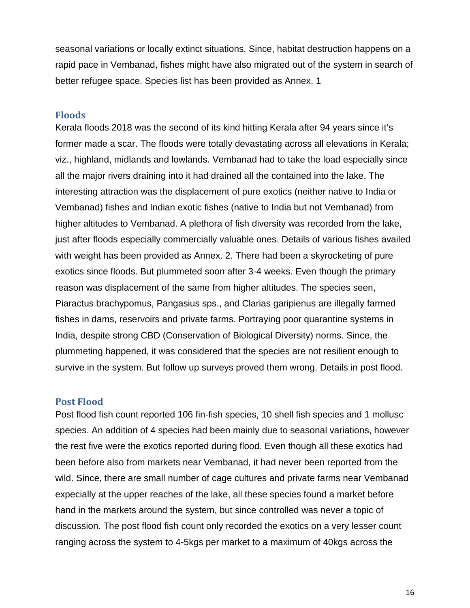seasonal variations or locally extinct situations. Since, habitat destruction happens on a rapid pace in Vembanad, fishes might have also migrated out of the system in search of better refugee space. Species list has been provided as Annex. 1

#### <span id="page-15-0"></span>**Floods**

Kerala floods 2018 was the second of its kind hitting Kerala after 94 years since it's former made a scar. The floods were totally devastating across all elevations in Kerala; viz., highland, midlands and lowlands. Vembanad had to take the load especially since all the major rivers draining into it had drained all the contained into the lake. The interesting attraction was the displacement of pure exotics (neither native to India or Vembanad) fishes and Indian exotic fishes (native to India but not Vembanad) from higher altitudes to Vembanad. A plethora of fish diversity was recorded from the lake, just after floods especially commercially valuable ones. Details of various fishes availed with weight has been provided as Annex. 2. There had been a skyrocketing of pure exotics since floods. But plummeted soon after 3-4 weeks. Even though the primary reason was displacement of the same from higher altitudes. The species seen, Piaractus brachypomus, Pangasius sps., and Clarias garipienus are illegally farmed fishes in dams, reservoirs and private farms. Portraying poor quarantine systems in India, despite strong CBD (Conservation of Biological Diversity) norms. Since, the plummeting happened, it was considered that the species are not resilient enough to survive in the system. But follow up surveys proved them wrong. Details in post flood.

#### <span id="page-15-1"></span>**Post Flood**

Post flood fish count reported 106 fin-fish species, 10 shell fish species and 1 mollusc species. An addition of 4 species had been mainly due to seasonal variations, however the rest five were the exotics reported during flood. Even though all these exotics had been before also from markets near Vembanad, it had never been reported from the wild. Since, there are small number of cage cultures and private farms near Vembanad expecially at the upper reaches of the lake, all these species found a market before hand in the markets around the system, but since controlled was never a topic of discussion. The post flood fish count only recorded the exotics on a very lesser count ranging across the system to 4-5kgs per market to a maximum of 40kgs across the

16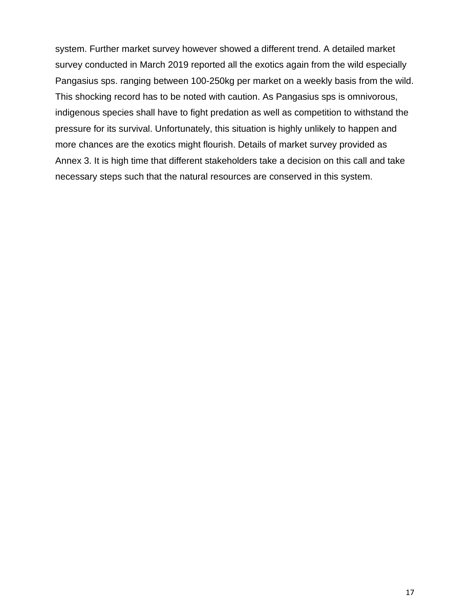system. Further market survey however showed a different trend. A detailed market survey conducted in March 2019 reported all the exotics again from the wild especially Pangasius sps. ranging between 100-250kg per market on a weekly basis from the wild. This shocking record has to be noted with caution. As Pangasius sps is omnivorous, indigenous species shall have to fight predation as well as competition to withstand the pressure for its survival. Unfortunately, this situation is highly unlikely to happen and more chances are the exotics might flourish. Details of market survey provided as Annex 3. It is high time that different stakeholders take a decision on this call and take necessary steps such that the natural resources are conserved in this system.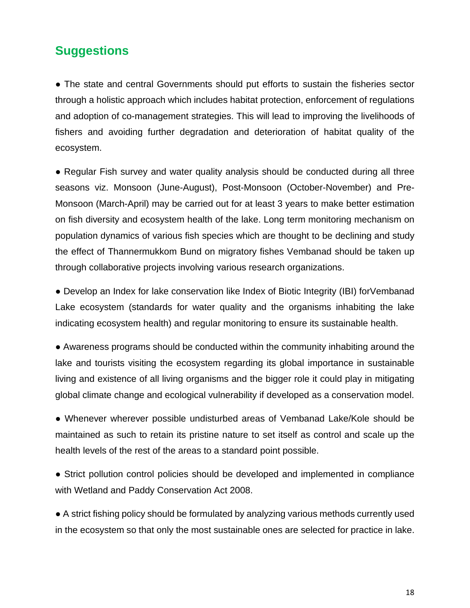## <span id="page-17-0"></span>**Suggestions**

• The state and central Governments should put efforts to sustain the fisheries sector through a holistic approach which includes habitat protection, enforcement of regulations and adoption of co-management strategies. This will lead to improving the livelihoods of fishers and avoiding further degradation and deterioration of habitat quality of the ecosystem.

• Regular Fish survey and water quality analysis should be conducted during all three seasons viz. Monsoon (June-August), Post-Monsoon (October-November) and Pre-Monsoon (March-April) may be carried out for at least 3 years to make better estimation on fish diversity and ecosystem health of the lake. Long term monitoring mechanism on population dynamics of various fish species which are thought to be declining and study the effect of Thannermukkom Bund on migratory fishes Vembanad should be taken up through collaborative projects involving various research organizations.

● Develop an Index for lake conservation like Index of Biotic Integrity (IBI) forVembanad Lake ecosystem (standards for water quality and the organisms inhabiting the lake indicating ecosystem health) and regular monitoring to ensure its sustainable health.

● Awareness programs should be conducted within the community inhabiting around the lake and tourists visiting the ecosystem regarding its global importance in sustainable living and existence of all living organisms and the bigger role it could play in mitigating global climate change and ecological vulnerability if developed as a conservation model.

● Whenever wherever possible undisturbed areas of Vembanad Lake/Kole should be maintained as such to retain its pristine nature to set itself as control and scale up the health levels of the rest of the areas to a standard point possible.

• Strict pollution control policies should be developed and implemented in compliance with Wetland and Paddy Conservation Act 2008.

● A strict fishing policy should be formulated by analyzing various methods currently used in the ecosystem so that only the most sustainable ones are selected for practice in lake.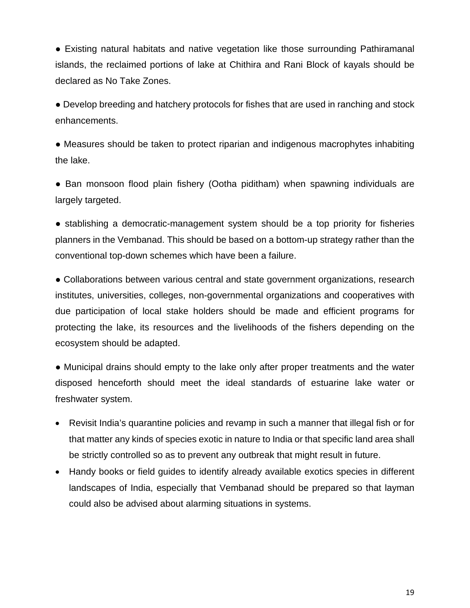● Existing natural habitats and native vegetation like those surrounding Pathiramanal islands, the reclaimed portions of lake at Chithira and Rani Block of kayals should be declared as No Take Zones.

● Develop breeding and hatchery protocols for fishes that are used in ranching and stock enhancements.

● Measures should be taken to protect riparian and indigenous macrophytes inhabiting the lake.

• Ban monsoon flood plain fishery (Ootha piditham) when spawning individuals are largely targeted.

● stablishing a democratic-management system should be a top priority for fisheries planners in the Vembanad. This should be based on a bottom-up strategy rather than the conventional top-down schemes which have been a failure.

• Collaborations between various central and state government organizations, research institutes, universities, colleges, non-governmental organizations and cooperatives with due participation of local stake holders should be made and efficient programs for protecting the lake, its resources and the livelihoods of the fishers depending on the ecosystem should be adapted.

● Municipal drains should empty to the lake only after proper treatments and the water disposed henceforth should meet the ideal standards of estuarine lake water or freshwater system.

- Revisit India's quarantine policies and revamp in such a manner that illegal fish or for that matter any kinds of species exotic in nature to India or that specific land area shall be strictly controlled so as to prevent any outbreak that might result in future.
- Handy books or field guides to identify already available exotics species in different landscapes of India, especially that Vembanad should be prepared so that layman could also be advised about alarming situations in systems.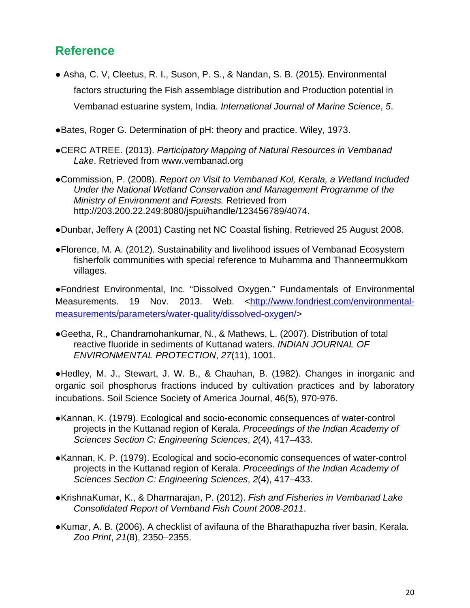### <span id="page-19-0"></span>**Reference**

- **●** Asha, C. V, Cleetus, R. I., Suson, P. S., & Nandan, S. B. (2015). Environmental factors structuring the Fish assemblage distribution and Production potential in Vembanad estuarine system, India. *International Journal of Marine Science*, *5*.
- ●Bates, Roger G. Determination of pH: theory and practice. Wiley, 1973.
- ●CERC ATREE. (2013). *Participatory Mapping of Natural Resources in Vembanad Lake*. Retrieved from www.vembanad.org
- ●Commission, P. (2008). *Report on Visit to Vembanad Kol, Kerala, a Wetland Included Under the National Wetland Conservation and Management Programme of the Ministry of Environment and Forests.* Retrieved from http://203.200.22.249:8080/jspui/handle/123456789/4074.
- ●Dunbar, Jeffery A (2001) Casting net NC Coastal fishing. Retrieved 25 August 2008.
- ●Florence, M. A. (2012). Sustainability and livelihood issues of Vembanad Ecosystem fisherfolk communities with special reference to Muhamma and Thanneermukkom villages.

●Fondriest Environmental, Inc. "Dissolved Oxygen." Fundamentals of Environmental Measurements. 19 Nov. 2013. Web. [<http://www.fondriest.com/environmental](http://www.fondriest.com/environmental-measurements/parameters/water-quality/dissolved-oxygen/)[measurements/parameters/water-quality/dissolved-oxygen/>](http://www.fondriest.com/environmental-measurements/parameters/water-quality/dissolved-oxygen/)

●Geetha, R., Chandramohankumar, N., & Mathews, L. (2007). Distribution of total reactive fluoride in sediments of Kuttanad waters. *INDIAN JOURNAL OF ENVIRONMENTAL PROTECTION*, *27*(11), 1001.

●Hedley, M. J., Stewart, J. W. B., & Chauhan, B. (1982). Changes in inorganic and organic soil phosphorus fractions induced by cultivation practices and by laboratory incubations. Soil Science Society of America Journal, 46(5), 970-976.

- ●Kannan, K. (1979). Ecological and socio-economic consequences of water-control projects in the Kuttanad region of Kerala. *Proceedings of the Indian Academy of Sciences Section C: Engineering Sciences*, *2*(4), 417–433.
- ●Kannan, K. P. (1979). Ecological and socio-economic consequences of water-control projects in the Kuttanad region of Kerala. *Proceedings of the Indian Academy of Sciences Section C: Engineering Sciences*, *2*(4), 417–433.
- ●KrishnaKumar, K., & Dharmarajan, P. (2012). *Fish and Fisheries in Vembanad Lake Consolidated Report of Vemband Fish Count 2008-2011*.
- ●Kumar, A. B. (2006). A checklist of avifauna of the Bharathapuzha river basin, Kerala. *Zoo Print*, *21*(8), 2350–2355.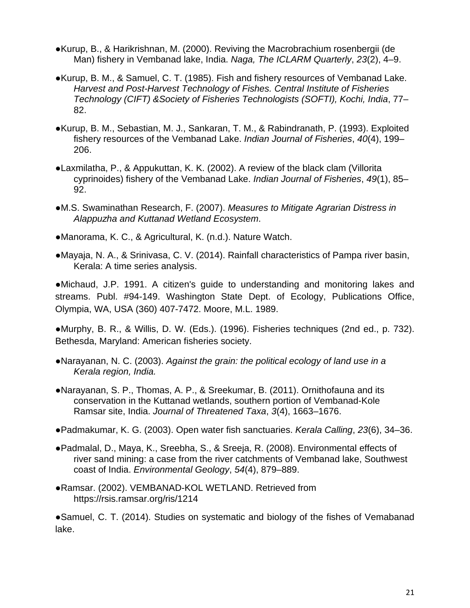- ●Kurup, B., & Harikrishnan, M. (2000). Reviving the Macrobrachium rosenbergii (de Man) fishery in Vembanad lake, India. *Naga, The ICLARM Quarterly*, *23*(2), 4–9.
- ●Kurup, B. M., & Samuel, C. T. (1985). Fish and fishery resources of Vembanad Lake. *Harvest and Post-Harvest Technology of Fishes. Central Institute of Fisheries Technology (CIFT) &Society of Fisheries Technologists (SOFTI), Kochi, India*, 77– 82.
- ●Kurup, B. M., Sebastian, M. J., Sankaran, T. M., & Rabindranath, P. (1993). Exploited fishery resources of the Vembanad Lake. *Indian Journal of Fisheries*, *40*(4), 199– 206.
- ●Laxmilatha, P., & Appukuttan, K. K. (2002). A review of the black clam (Villorita cyprinoides) fishery of the Vembanad Lake. *Indian Journal of Fisheries*, *49*(1), 85– 92.
- ●M.S. Swaminathan Research, F. (2007). *Measures to Mitigate Agrarian Distress in Alappuzha and Kuttanad Wetland Ecosystem*.
- ●Manorama, K. C., & Agricultural, K. (n.d.). Nature Watch.
- ●Mayaja, N. A., & Srinivasa, C. V. (2014). Rainfall characteristics of Pampa river basin, Kerala: A time series analysis.

●Michaud, J.P. 1991. A citizen's guide to understanding and monitoring lakes and streams. Publ. #94-149. Washington State Dept. of Ecology, Publications Office, Olympia, WA, USA (360) 407-7472. Moore, M.L. 1989.

●Murphy, B. R., & Willis, D. W. (Eds.). (1996). Fisheries techniques (2nd ed., p. 732). Bethesda, Maryland: American fisheries society.

- ●Narayanan, N. C. (2003). *Against the grain: the political ecology of land use in a Kerala region, India.*
- ●Narayanan, S. P., Thomas, A. P., & Sreekumar, B. (2011). Ornithofauna and its conservation in the Kuttanad wetlands, southern portion of Vembanad-Kole Ramsar site, India. *Journal of Threatened Taxa*, *3*(4), 1663–1676.
- ●Padmakumar, K. G. (2003). Open water fish sanctuaries. *Kerala Calling*, *23*(6), 34–36.
- ●Padmalal, D., Maya, K., Sreebha, S., & Sreeja, R. (2008). Environmental effects of river sand mining: a case from the river catchments of Vembanad lake, Southwest coast of India. *Environmental Geology*, *54*(4), 879–889.
- ●Ramsar. (2002). VEMBANAD-KOL WETLAND. Retrieved from https://rsis.ramsar.org/ris/1214

●Samuel, C. T. (2014). Studies on systematic and biology of the fishes of Vemabanad lake.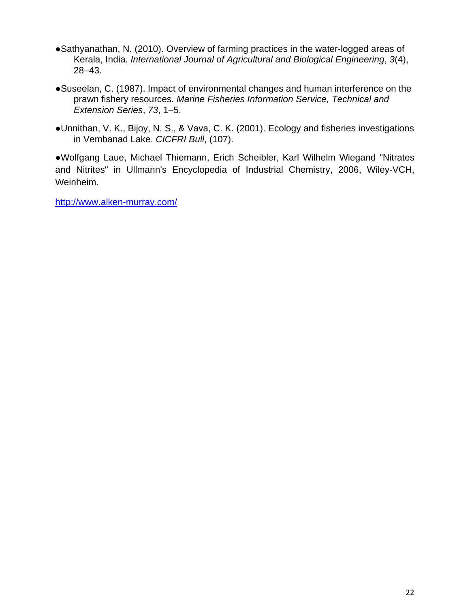- ●Sathyanathan, N. (2010). Overview of farming practices in the water-logged areas of Kerala, India. *International Journal of Agricultural and Biological Engineering*, *3*(4), 28–43.
- ●Suseelan, C. (1987). Impact of environmental changes and human interference on the prawn fishery resources. *Marine Fisheries Information Service, Technical and Extension Series*, *73*, 1–5.
- ●Unnithan, V. K., Bijoy, N. S., & Vava, C. K. (2001). Ecology and fisheries investigations in Vembanad Lake. *CICFRI Bull*, (107).

●Wolfgang Laue, Michael Thiemann, Erich Scheibler, Karl Wilhelm Wiegand "Nitrates and Nitrites" in Ullmann's Encyclopedia of Industrial Chemistry, 2006, Wiley-VCH, Weinheim.

<http://www.alken-murray.com/>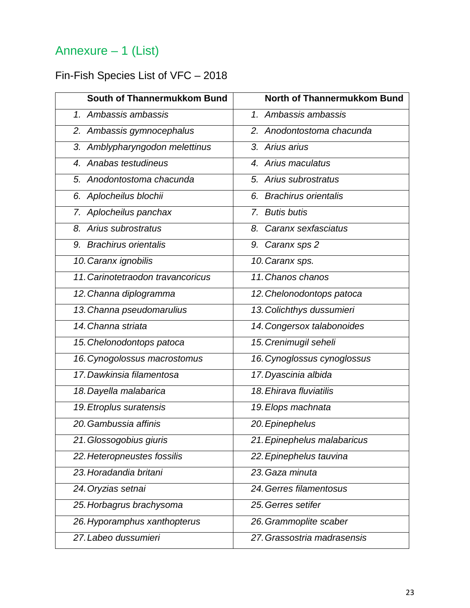# <span id="page-22-0"></span>Annexure – 1 (List)

## <span id="page-22-1"></span>Fin-Fish Species List of VFC – 2018

| South of Thannermukkom Bund       | North of Thannermukkom Bund |
|-----------------------------------|-----------------------------|
| 1. Ambassis ambassis              | 1. Ambassis ambassis        |
| 2. Ambassis gymnocephalus         | 2. Anodontostoma chacunda   |
| 3. Amblypharyngodon melettinus    | 3. Arius arius              |
| 4. Anabas testudineus             | 4. Arius maculatus          |
| 5. Anodontostoma chacunda         | 5. Arius subrostratus       |
| 6. Aplocheilus blochii            | 6. Brachirus orientalis     |
| 7. Aplocheilus panchax            | 7. Butis butis              |
| 8. Arius subrostratus             | 8. Caranx sexfasciatus      |
| 9. Brachirus orientalis           | 9. Caranx sps 2             |
| 10. Caranx ignobilis              | 10. Caranx sps.             |
| 11. Carinotetraodon travancoricus | 11. Chanos chanos           |
| 12. Channa diplogramma            | 12. Chelonodontops patoca   |
| 13. Channa pseudomarulius         | 13. Colichthys dussumieri   |
| 14. Channa striata                | 14. Congersox talabonoides  |
| 15. Chelonodontops patoca         | 15. Crenimugil seheli       |
| 16. Cynogolossus macrostomus      | 16. Cynoglossus cynoglossus |
| 17. Dawkinsia filamentosa         | 17. Dyascinia albida        |
| 18. Dayella malabarica            | 18. Ehirava fluviatilis     |
| 19. Etroplus suratensis           | 19. Elops machnata          |
| 20. Gambussia affinis             | 20. Epinephelus             |
| 21. Glossogobius giuris           | 21. Epinephelus malabaricus |
| 22. Heteropneustes fossilis       | 22. Epinephelus tauvina     |
| 23. Horadandia britani            | 23. Gaza minuta             |
| 24. Oryzias setnai                | 24. Gerres filamentosus     |
| 25. Horbagrus brachysoma          | 25. Gerres setifer          |
| 26. Hyporamphus xanthopterus      | 26. Grammoplite scaber      |
| 27. Labeo dussumieri              | 27. Grassostria madrasensis |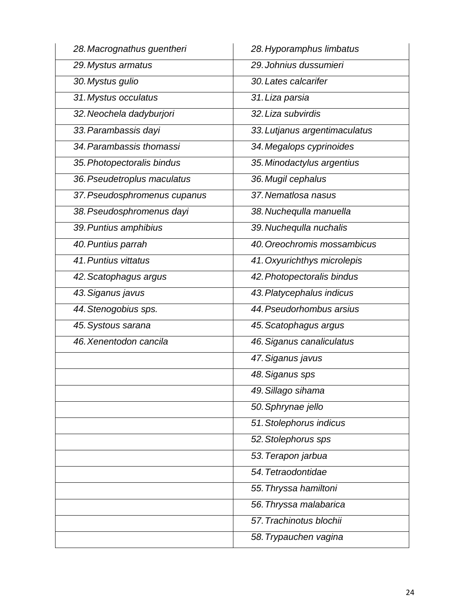| 28. Macrognathus guentheri   | 28. Hyporamphus limbatus      |
|------------------------------|-------------------------------|
| 29. Mystus armatus           | 29. Johnius dussumieri        |
| 30. Mystus gulio             | 30. Lates calcarifer          |
| 31. Mystus occulatus         | 31. Liza parsia               |
| 32. Neochela dadyburjori     | 32. Liza subvirdis            |
| 33. Parambassis dayi         | 33. Lutjanus argentimaculatus |
| 34. Parambassis thomassi     | 34. Megalops cyprinoides      |
| 35. Photopectoralis bindus   | 35. Minodactylus argentius    |
| 36. Pseudetroplus maculatus  | 36. Mugil cephalus            |
| 37. Pseudosphromenus cupanus | 37. Nematlosa nasus           |
| 38. Pseudosphromenus dayi    | 38. Nuchequlla manuella       |
| 39. Puntius amphibius        | 39. Nuchequlla nuchalis       |
| 40. Puntius parrah           | 40. Oreochromis mossambicus   |
| 41. Puntius vittatus         | 41. Oxyurichthys microlepis   |
| 42. Scatophagus argus        | 42. Photopectoralis bindus    |
| 43. Siganus javus            | 43. Platycephalus indicus     |
| 44. Stenogobius sps.         | 44. Pseudorhombus arsius      |
| 45. Systous sarana           | 45. Scatophagus argus         |
| 46. Xenentodon cancila       | 46. Siganus canaliculatus     |
|                              | 47. Siganus javus             |
|                              | 48. Siganus sps               |
|                              | 49. Sillago sihama            |
|                              | 50. Sphrynae jello            |
|                              | 51. Stolephorus indicus       |
|                              | 52. Stolephorus sps           |
|                              | 53. Terapon jarbua            |
|                              | 54. Tetraodontidae            |
|                              | 55. Thryssa hamiltoni         |
|                              | 56. Thryssa malabarica        |
|                              | 57. Trachinotus blochii       |
|                              | 58. Trypauchen vagina         |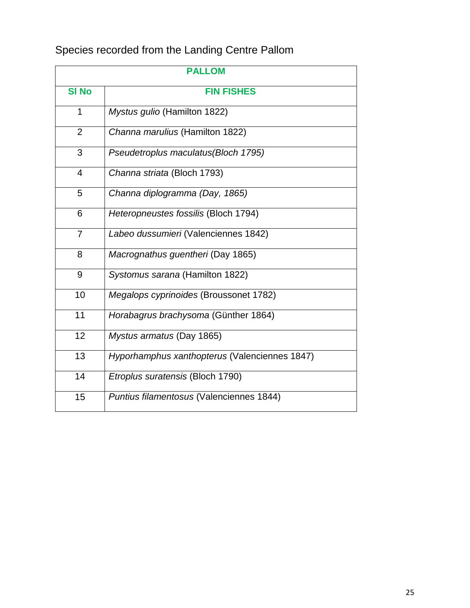## Species recorded from the Landing Centre Pallom

| <b>PALLOM</b>  |                                               |  |  |  |  |
|----------------|-----------------------------------------------|--|--|--|--|
| <b>SI No</b>   | <b>FIN FISHES</b>                             |  |  |  |  |
| 1              | Mystus gulio (Hamilton 1822)                  |  |  |  |  |
| $\overline{2}$ | Channa marulius (Hamilton 1822)               |  |  |  |  |
| 3              | Pseudetroplus maculatus(Bloch 1795)           |  |  |  |  |
| 4              | Channa striata (Bloch 1793)                   |  |  |  |  |
| 5              | Channa diplogramma (Day, 1865)                |  |  |  |  |
| 6              | Heteropneustes fossilis (Bloch 1794)          |  |  |  |  |
| $\overline{7}$ | Labeo dussumieri (Valenciennes 1842)          |  |  |  |  |
| 8              | Macrognathus guentheri (Day 1865)             |  |  |  |  |
| 9              | Systomus sarana (Hamilton 1822)               |  |  |  |  |
| 10             | Megalops cyprinoides (Broussonet 1782)        |  |  |  |  |
| 11             | Horabagrus brachysoma (Günther 1864)          |  |  |  |  |
| 12             | Mystus armatus (Day 1865)                     |  |  |  |  |
| 13             | Hyporhamphus xanthopterus (Valenciennes 1847) |  |  |  |  |
| 14             | Etroplus suratensis (Bloch 1790)              |  |  |  |  |
| 15             | Puntius filamentosus (Valenciennes 1844)      |  |  |  |  |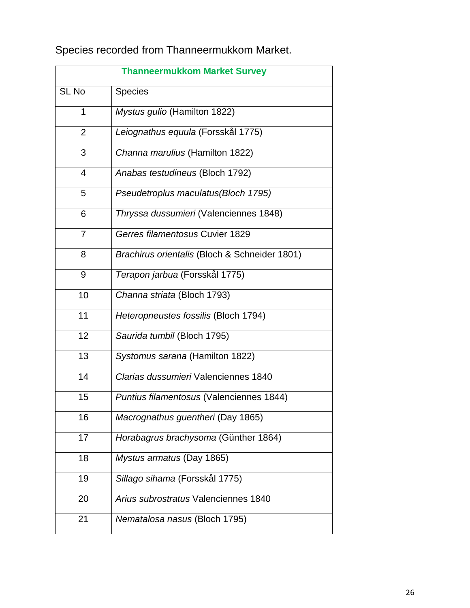Species recorded from Thanneermukkom Market.

| <b>Thanneermukkom Market Survey</b> |                                               |  |  |  |  |
|-------------------------------------|-----------------------------------------------|--|--|--|--|
| SL No                               | <b>Species</b>                                |  |  |  |  |
| 1                                   | Mystus gulio (Hamilton 1822)                  |  |  |  |  |
| $\overline{2}$                      | Leiognathus equula (Forsskål 1775)            |  |  |  |  |
| 3                                   | Channa marulius (Hamilton 1822)               |  |  |  |  |
| $\overline{4}$                      | Anabas testudineus (Bloch 1792)               |  |  |  |  |
| 5                                   | Pseudetroplus maculatus (Bloch 1795)          |  |  |  |  |
| 6                                   | Thryssa dussumieri (Valenciennes 1848)        |  |  |  |  |
| $\overline{7}$                      | Gerres filamentosus Cuvier 1829               |  |  |  |  |
| 8                                   | Brachirus orientalis (Bloch & Schneider 1801) |  |  |  |  |
| 9                                   | Terapon jarbua (Forsskål 1775)                |  |  |  |  |
| 10                                  | Channa striata (Bloch 1793)                   |  |  |  |  |
| 11                                  | Heteropneustes fossilis (Bloch 1794)          |  |  |  |  |
| 12                                  | Saurida tumbil (Bloch 1795)                   |  |  |  |  |
| 13                                  | Systomus sarana (Hamilton 1822)               |  |  |  |  |
| 14                                  | Clarias dussumieri Valenciennes 1840          |  |  |  |  |
| 15                                  | Puntius filamentosus (Valenciennes 1844)      |  |  |  |  |
| 16                                  | Macrognathus guentheri (Day 1865)             |  |  |  |  |
| 17                                  | Horabagrus brachysoma (Günther 1864)          |  |  |  |  |
| 18                                  | Mystus armatus (Day 1865)                     |  |  |  |  |
| 19                                  | Sillago sihama (Forsskål 1775)                |  |  |  |  |
| 20                                  | Arius subrostratus Valenciennes 1840          |  |  |  |  |
| 21                                  | Nematalosa nasus (Bloch 1795)                 |  |  |  |  |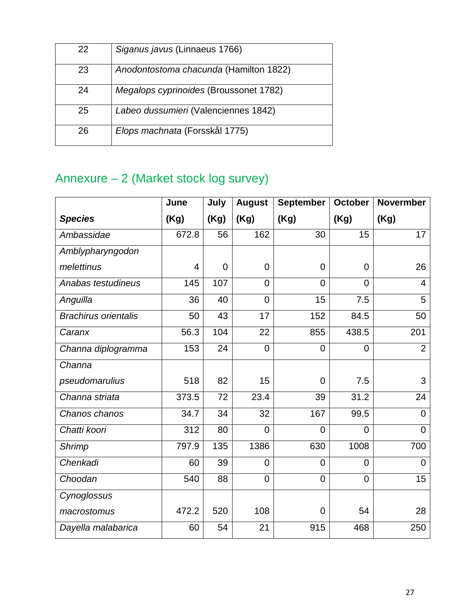| 22 | Siganus javus (Linnaeus 1766)          |
|----|----------------------------------------|
| 23 | Anodontostoma chacunda (Hamilton 1822) |
| 24 | Megalops cyprinoides (Broussonet 1782) |
| 25 | Labeo dussumieri (Valenciennes 1842)   |
| 26 | Elops machnata (Forsskål 1775)         |

## <span id="page-26-0"></span>Annexure – 2 (Market stock log survey)

|                             | June  | July           | <b>August</b>  | September      | <b>October</b> | <b>Novermber</b> |
|-----------------------------|-------|----------------|----------------|----------------|----------------|------------------|
| <b>Species</b>              | (Kg)  | (Kg)           | (Kg)           | (Kg)           | (Kg)           | (Kg)             |
| Ambassidae                  | 672.8 | 56             | 162            | 30             | 15             | 17               |
| Amblypharyngodon            |       |                |                |                |                |                  |
| melettinus                  | 4     | $\overline{0}$ | $\overline{0}$ | $\overline{0}$ | $\mathbf 0$    | 26               |
| Anabas testudineus          | 145   | 107            | $\overline{0}$ | $\overline{0}$ | $\overline{0}$ | $\overline{4}$   |
| Anguilla                    | 36    | 40             | $\overline{0}$ | 15             | 7.5            | 5                |
| <b>Brachirus orientalis</b> | 50    | 43             | 17             | 152            | 84.5           | 50               |
| Caranx                      | 56.3  | 104            | 22             | 855            | 438.5          | 201              |
| Channa diplogramma          | 153   | 24             | $\mathbf 0$    | $\overline{0}$ | $\overline{0}$ | 2                |
| Channa                      |       |                |                |                |                |                  |
| pseudomarulius              | 518   | 82             | 15             | $\overline{0}$ | 7.5            | 3                |
| Channa striata              | 373.5 | 72             | 23.4           | 39             | 31.2           | 24               |
| Chanos chanos               | 34.7  | 34             | 32             | 167            | 99.5           | $\overline{0}$   |
| Chatti koori                | 312   | 80             | $\overline{0}$ | $\overline{0}$ | $\Omega$       | $\Omega$         |
| <b>Shrimp</b>               | 797.9 | 135            | 1386           | 630            | 1008           | 700              |
| Chenkadi                    | 60    | 39             | $\overline{0}$ | $\overline{0}$ | $\overline{0}$ | $\overline{0}$   |
| Choodan                     | 540   | 88             | $\mathbf 0$    | $\overline{0}$ | $\mathbf 0$    | 15               |
| Cynoglossus                 |       |                |                |                |                |                  |
| macrostomus                 | 472.2 | 520            | 108            | $\mathbf 0$    | 54             | 28               |
| Dayella malabarica          | 60    | 54             | 21             | 915            | 468            | 250              |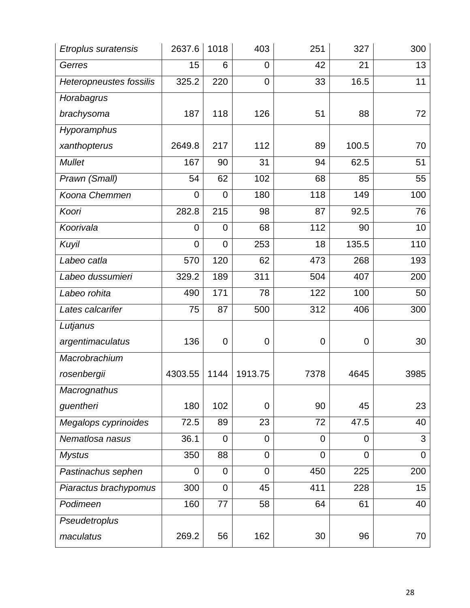| <b>Etroplus suratensis</b>     | 2637.6         | 1018             | 403            | 251            | 327         | 300            |
|--------------------------------|----------------|------------------|----------------|----------------|-------------|----------------|
| Gerres                         | 15             | 6                | $\overline{0}$ | 42             | 21          | 13             |
| <b>Heteropneustes fossilis</b> | 325.2          | 220              | $\overline{0}$ | 33             | 16.5        | 11             |
| Horabagrus                     |                |                  |                |                |             |                |
| brachysoma                     | 187            | 118              | 126            | 51             | 88          | 72             |
| Hyporamphus                    |                |                  |                |                |             |                |
| xanthopterus                   | 2649.8         | 217              | 112            | 89             | 100.5       | 70             |
| <b>Mullet</b>                  | 167            | 90               | 31             | 94             | 62.5        | 51             |
| Prawn (Small)                  | 54             | 62               | 102            | 68             | 85          | 55             |
| Koona Chemmen                  | $\overline{0}$ | $\overline{0}$   | 180            | 118            | 149         | 100            |
| Koori                          | 282.8          | 215              | 98             | 87             | 92.5        | 76             |
| Koorivala                      | 0              | $\overline{0}$   | 68             | 112            | 90          | 10             |
| Kuyil                          | $\mathbf 0$    | $\overline{0}$   | 253            | 18             | 135.5       | 110            |
| Labeo catla                    | 570            | 120              | 62             | 473            | 268         | 193            |
| Labeo dussumieri               | 329.2          | 189              | 311            | 504            | 407         | 200            |
| Labeo rohita                   | 490            | 171              | 78             | 122            | 100         | 50             |
| Lates calcarifer               | 75             | 87               | 500            | 312            | 406         | 300            |
| Lutjanus                       |                |                  |                |                |             |                |
| argentimaculatus               | 136            | $\mathbf 0$      | $\mathbf 0$    | $\mathbf 0$    | $\mathbf 0$ | 30             |
| Macrobrachium                  |                |                  |                |                |             |                |
| rosenbergii                    | 4303.55        | 1144             | 1913.75        | 7378           | 4645        | 3985           |
| <b>Macrognathus</b>            |                |                  |                |                |             |                |
| guentheri                      | 180            | 102              | $\mathbf 0$    | 90             | 45          | 23             |
| Megalops cyprinoides           | 72.5           | 89               | 23             | 72             | 47.5        | 40             |
| Nematlosa nasus                | 36.1           | $\overline{0}$   | $\overline{0}$ | $\overline{0}$ | 0           | 3              |
| <b>Mystus</b>                  | 350            | 88               | $\mathbf 0$    | $\overline{0}$ | 0           | $\overline{0}$ |
| Pastinachus sephen             | 0              | $\mathbf 0$      | $\overline{0}$ | 450            | 225         | 200            |
| Piaractus brachypomus          | 300            | $\boldsymbol{0}$ | 45             | 411            | 228         | 15             |
| Podimeen                       | 160            | 77               | 58             | 64             | 61          | 40             |
| Pseudetroplus                  |                |                  |                |                |             |                |
| maculatus                      | 269.2          | 56               | 162            | 30             | 96          | 70             |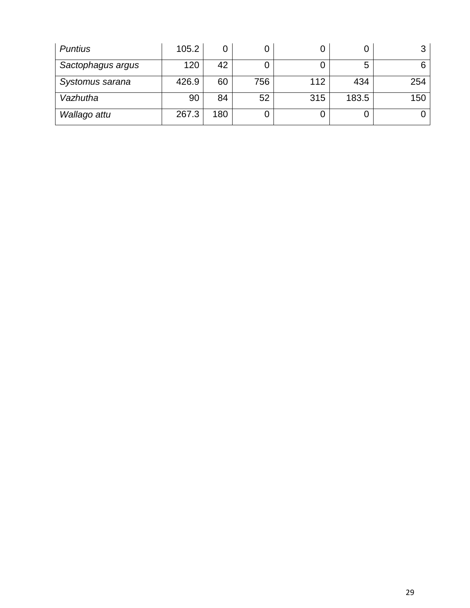| <b>Puntius</b>    | 105.2 | Ő   |     |     | O     | 3   |
|-------------------|-------|-----|-----|-----|-------|-----|
| Sactophagus argus | 120   | 42  |     |     | 5     | 6   |
| Systomus sarana   | 426.9 | 60  | 756 | 112 | 434   | 254 |
| Vazhutha          | 90    | 84  | 52  | 315 | 183.5 | 150 |
| Wallago attu      | 267.3 | 180 |     |     | Ő     |     |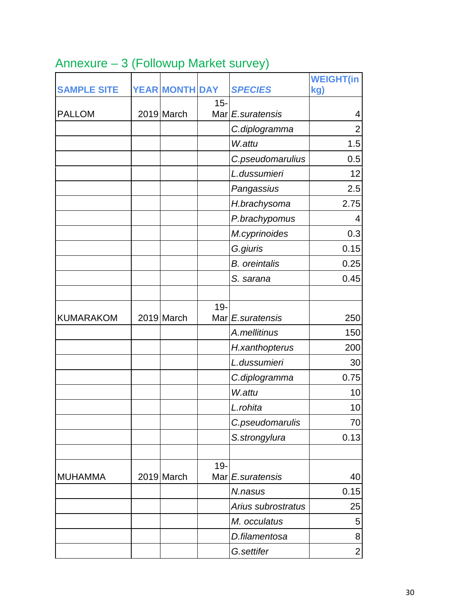| <b>SAMPLE SITE</b> | <b>YEAR MONTH DAY</b> |        | <b>SPECIES</b>       | <b>WEIGHT(in</b><br>kg) |
|--------------------|-----------------------|--------|----------------------|-------------------------|
|                    |                       | $15 -$ |                      |                         |
| <b>PALLOM</b>      | 2019 March            |        | Mar E.suratensis     | 4                       |
|                    |                       |        | C.diplogramma        | $\overline{2}$          |
|                    |                       |        | W.attu               | 1.5                     |
|                    |                       |        | C.pseudomarulius     | 0.5                     |
|                    |                       |        | L.dussumieri         | 12                      |
|                    |                       |        | Pangassius           | 2.5                     |
|                    |                       |        | H.brachysoma         | 2.75                    |
|                    |                       |        | P.brachypomus        | 4                       |
|                    |                       |        | M.cyprinoides        | 0.3                     |
|                    |                       |        | G.giuris             | 0.15                    |
|                    |                       |        | <b>B.</b> oreintalis | 0.25                    |
|                    |                       |        | S. sarana            | 0.45                    |
|                    |                       |        |                      |                         |
| <b>KUMARAKOM</b>   | 2019 March            | $19 -$ | Mar E.suratensis     | 250                     |
|                    |                       |        | A.mellitinus         | 150                     |
|                    |                       |        | H.xanthopterus       | 200                     |
|                    |                       |        | L.dussumieri         | 30                      |
|                    |                       |        | C.diplogramma        | 0.75                    |
|                    |                       |        | W.attu               | 10                      |
|                    |                       |        | L.rohita             | 10                      |
|                    |                       |        | C.pseudomarulis      | 70                      |
|                    |                       |        | S.strongylura        | 0.13                    |
|                    |                       |        |                      |                         |
| <b>MUHAMMA</b>     | 2019 March            | $19 -$ | Mar E.suratensis     | 40                      |
|                    |                       |        | N.nasus              | 0.15                    |
|                    |                       |        | Arius subrostratus   | 25                      |
|                    |                       |        | M. occulatus         | 5                       |
|                    |                       |        | D.filamentosa        | 8                       |
|                    |                       |        | G.settifer           | $\mathbf{2}$            |

# <span id="page-29-0"></span>Annexure – 3 (Followup Market survey)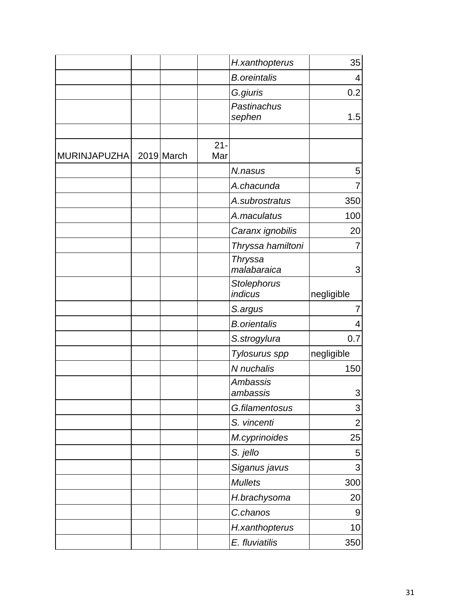|              |            |               | H.xanthopterus                | 35                        |
|--------------|------------|---------------|-------------------------------|---------------------------|
|              |            |               | <b>B.oreintalis</b>           | 4                         |
|              |            |               | G.giuris                      | 0.2                       |
|              |            |               | Pastinachus<br>sephen         | 1.5                       |
| MURINJAPUZHA | 2019 March | $21 -$<br>Mar |                               |                           |
|              |            |               | N.nasus                       | 5                         |
|              |            |               | A.chacunda                    | 7                         |
|              |            |               | A.subrostratus                | 350                       |
|              |            |               | A.maculatus                   | 100                       |
|              |            |               | Caranx ignobilis              | 20                        |
|              |            |               | Thryssa hamiltoni             | 7                         |
|              |            |               | <b>Thryssa</b><br>malabaraica | 3                         |
|              |            |               | Stolephorus<br>indicus        | negligible                |
|              |            |               | S.argus                       | 7                         |
|              |            |               | <b>B.orientalis</b>           | 4                         |
|              |            |               | S.strogylura                  | 0.7                       |
|              |            |               | Tylosurus spp                 | negligible                |
|              |            |               | N nuchalis                    | 150                       |
|              |            |               | <b>Ambassis</b><br>ambassis   | 3                         |
|              |            |               | G.filamentosus                | $\sqrt{3}$                |
|              |            |               | S. vincenti                   | $\overline{2}$            |
|              |            |               | M.cyprinoides                 | 25                        |
|              |            |               | S. jello                      | 5                         |
|              |            |               | Siganus javus                 | $\ensuremath{\mathsf{3}}$ |
|              |            |               | <b>Mullets</b>                | 300                       |
|              |            |               | H.brachysoma                  | 20                        |
|              |            |               | C.chanos                      | 9                         |
|              |            |               | H.xanthopterus                | 10                        |
|              |            |               | E. fluviatilis                | 350                       |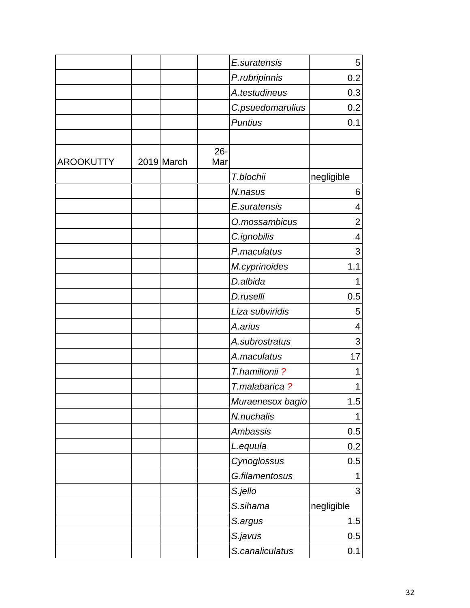|                  |            |               | E.suratensis     | 5              |
|------------------|------------|---------------|------------------|----------------|
|                  |            |               | P.rubripinnis    | 0.2            |
|                  |            |               | A.testudineus    | 0.3            |
|                  |            |               | C.psuedomarulius | 0.2            |
|                  |            |               | <b>Puntius</b>   | 0.1            |
|                  |            |               |                  |                |
| <b>AROOKUTTY</b> | 2019 March | $26 -$<br>Mar |                  |                |
|                  |            |               | T.blochii        | negligible     |
|                  |            |               | N.nasus          | 6              |
|                  |            |               | E.suratensis     | 4              |
|                  |            |               | O.mossambicus    | $\overline{2}$ |
|                  |            |               | C.ignobilis      | 4              |
|                  |            |               | P.maculatus      | 3              |
|                  |            |               | M.cyprinoides    | 1.1            |
|                  |            |               | D.albida         | 1              |
|                  |            |               | D.ruselli        | 0.5            |
|                  |            |               | Liza subviridis  | 5              |
|                  |            |               | A.arius          | 4              |
|                  |            |               | A.subrostratus   | 3              |
|                  |            |               | A.maculatus      | 17             |
|                  |            |               | T.hamiltonii?    | 1              |
|                  |            |               | T.malabarica?    | 1              |
|                  |            |               | Muraenesox bagio | 1.5            |
|                  |            |               | N.nuchalis       | 1              |
|                  |            |               | Ambassis         | 0.5            |
|                  |            |               | L.equula         | 0.2            |
|                  |            |               | Cynoglossus      | 0.5            |
|                  |            |               | G.filamentosus   | 1              |
|                  |            |               | S.jello          | 3              |
|                  |            |               | S.sihama         | negligible     |
|                  |            |               | S.argus          | 1.5            |
|                  |            |               | S.javus          | 0.5            |
|                  |            |               | S.canaliculatus  | 0.1            |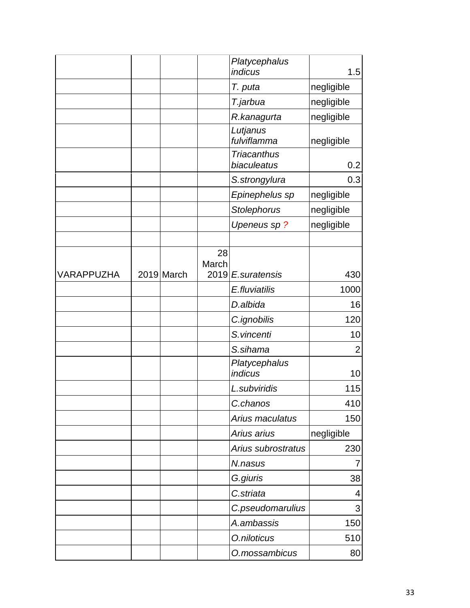|            |            |             | Platycephalus<br>indicus          | 1.5        |
|------------|------------|-------------|-----------------------------------|------------|
|            |            |             | T. puta                           | negligible |
|            |            |             | T.jarbua                          | negligible |
|            |            |             | R.kanagurta                       | negligible |
|            |            |             | Lutjanus<br>fulviflamma           | negligible |
|            |            |             | <b>Triacanthus</b><br>biaculeatus | 0.2        |
|            |            |             | S.strongylura                     | 0.3        |
|            |            |             | Epinephelus sp                    | negligible |
|            |            |             | Stolephorus                       | negligible |
|            |            |             | Upeneus sp?                       | negligible |
|            |            |             |                                   |            |
|            |            | 28<br>March |                                   |            |
| VARAPPUZHA | 2019 March |             | 2019 E.suratensis                 | 430        |
|            |            |             | E.fluviatilis                     | 1000       |
|            |            |             | D.albida                          | 16         |
|            |            |             | C.ignobilis                       | 120        |
|            |            |             | S.vincenti                        | 10         |
|            |            |             | S.sihama                          | 2          |
|            |            |             | Platycephalus<br>indicus          | 10         |
|            |            |             | L.subviridis                      | 115        |
|            |            |             | C.chanos                          | 410        |
|            |            |             | Arius maculatus                   | 150        |
|            |            |             | Arius arius                       | negligible |
|            |            |             | Arius subrostratus                | 230        |
|            |            |             | N.nasus                           | 7          |
|            |            |             | G.giuris                          | 38         |
|            |            |             | C.striata                         | 4          |
|            |            |             | C.pseudomarulius                  | 3          |
|            |            |             | A.ambassis                        | 150        |
|            |            |             | O.niloticus                       | 510        |
|            |            |             | O.mossambicus                     | 80         |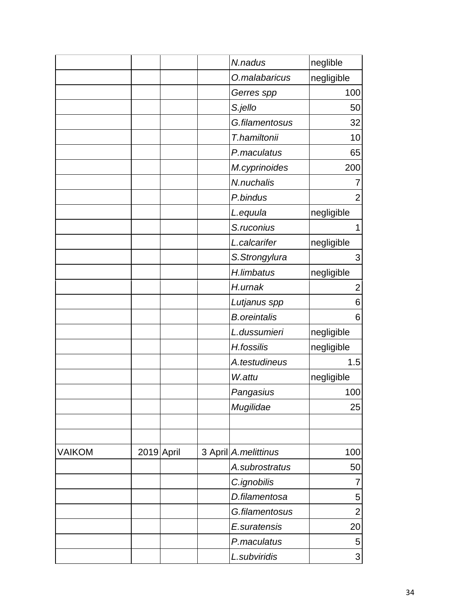|               |            |  | N.nadus               | neglible       |
|---------------|------------|--|-----------------------|----------------|
|               |            |  | O.malabaricus         | negligible     |
|               |            |  | Gerres spp            | 100            |
|               |            |  | S.jello               | 50             |
|               |            |  | G.filamentosus        | 32             |
|               |            |  | T.hamiltonii          | 10             |
|               |            |  | P.maculatus           | 65             |
|               |            |  | M.cyprinoides         | 200            |
|               |            |  | N.nuchalis            | 7              |
|               |            |  | P.bindus              | $\overline{2}$ |
|               |            |  | L.equula              | negligible     |
|               |            |  | S.ruconius            | 1              |
|               |            |  | L.calcarifer          | negligible     |
|               |            |  | S.Strongylura         | 3              |
|               |            |  | H.limbatus            | negligible     |
|               |            |  | H.urnak               | 2              |
|               |            |  | Lutjanus spp          | 6              |
|               |            |  | <b>B.oreintalis</b>   | 6              |
|               |            |  | L.dussumieri          | negligible     |
|               |            |  | H.fossilis            | negligible     |
|               |            |  | A.testudineus         | 1.5            |
|               |            |  | W.attu                | negligible     |
|               |            |  | Pangasius             | 100            |
|               |            |  | Mugilidae             | 25             |
|               |            |  |                       |                |
|               |            |  |                       |                |
| <b>VAIKOM</b> | 2019 April |  | 3 April A. melittinus | 100            |
|               |            |  | A.subrostratus        | 50             |
|               |            |  | C.ignobilis           | 7              |
|               |            |  | D.filamentosa         | 5              |
|               |            |  | G.filamentosus        | $\overline{2}$ |
|               |            |  | E.suratensis          | 20             |
|               |            |  | P.maculatus           | 5              |
|               |            |  | L.subviridis          | 3              |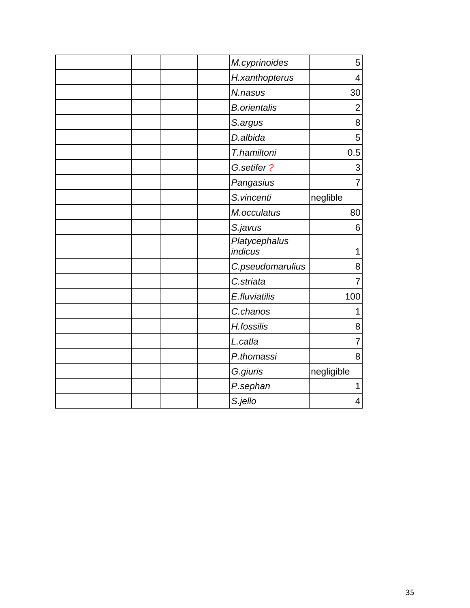|                     | M.cyprinoides<br>5    |
|---------------------|-----------------------|
|                     | H.xanthopterus<br>4   |
| N.nasus             | 30                    |
| <b>B.orientalis</b> | $\overline{2}$        |
| S.argus             | 8                     |
| D.albida            | 5                     |
| T.hamiltoni         | 0.5                   |
| G.setifer?          | 3                     |
| Pangasius           | $\overline{7}$        |
| S.vincenti          | neglible              |
| M.occulatus         | 80                    |
| S.javus             | 6                     |
| indicus             | Platycephalus<br>1    |
|                     | C.pseudomarulius<br>8 |
| C.striata           | $\overline{7}$        |
| E.fluviatilis       | 100                   |
| C.chanos            | 1                     |
| H.fossilis          | 8                     |
| L.catla             | $\overline{7}$        |
| P.thomassi          | 8                     |
| G.giuris            | negligible            |
| P.sephan            | 1                     |
| S.jello             | 4                     |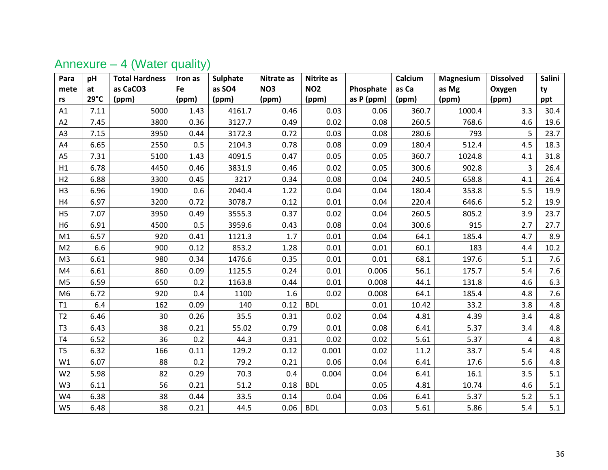<span id="page-35-0"></span>

| Para           | pH            | <b>Total Hardness</b> | Iron as | Sulphate | Nitrate as      | <b>Nitrite as</b> |            | Calcium | Magnesium | <b>Dissolved</b> | Salini |
|----------------|---------------|-----------------------|---------|----------|-----------------|-------------------|------------|---------|-----------|------------------|--------|
| mete           | at            | as CaCO3              | Fe      | as SO4   | NO <sub>3</sub> | <b>NO2</b>        | Phosphate  | as Ca   | as Mg     | Oxygen           | ty     |
| rs             | $29^{\circ}C$ | (ppm)                 | (ppm)   | (ppm)    | (ppm)           | (ppm)             | as P (ppm) | (ppm)   | (ppm)     | (ppm)            | ppt    |
| A1             | 7.11          | 5000                  | 1.43    | 4161.7   | 0.46            | 0.03              | 0.06       | 360.7   | 1000.4    | 3.3              | 30.4   |
| A2             | 7.45          | 3800                  | 0.36    | 3127.7   | 0.49            | 0.02              | 0.08       | 260.5   | 768.6     | 4.6              | 19.6   |
| A <sub>3</sub> | 7.15          | 3950                  | 0.44    | 3172.3   | 0.72            | 0.03              | 0.08       | 280.6   | 793       | 5                | 23.7   |
| A4             | 6.65          | 2550                  | 0.5     | 2104.3   | 0.78            | 0.08              | 0.09       | 180.4   | 512.4     | 4.5              | 18.3   |
| A <sub>5</sub> | 7.31          | 5100                  | 1.43    | 4091.5   | 0.47            | 0.05              | 0.05       | 360.7   | 1024.8    | 4.1              | 31.8   |
| H1             | 6.78          | 4450                  | 0.46    | 3831.9   | 0.46            | 0.02              | 0.05       | 300.6   | 902.8     | 3                | 26.4   |
| H <sub>2</sub> | 6.88          | 3300                  | 0.45    | 3217     | 0.34            | 0.08              | 0.04       | 240.5   | 658.8     | 4.1              | 26.4   |
| H <sub>3</sub> | 6.96          | 1900                  | 0.6     | 2040.4   | 1.22            | 0.04              | 0.04       | 180.4   | 353.8     | 5.5              | 19.9   |
| H4             | 6.97          | 3200                  | 0.72    | 3078.7   | 0.12            | 0.01              | 0.04       | 220.4   | 646.6     | 5.2              | 19.9   |
| H <sub>5</sub> | 7.07          | 3950                  | 0.49    | 3555.3   | 0.37            | 0.02              | 0.04       | 260.5   | 805.2     | 3.9              | 23.7   |
| H <sub>6</sub> | 6.91          | 4500                  | 0.5     | 3959.6   | 0.43            | 0.08              | 0.04       | 300.6   | 915       | 2.7              | 27.7   |
| M1             | 6.57          | 920                   | 0.41    | 1121.3   | 1.7             | 0.01              | 0.04       | 64.1    | 185.4     | 4.7              | 8.9    |
| M <sub>2</sub> | 6.6           | 900                   | 0.12    | 853.2    | 1.28            | 0.01              | 0.01       | 60.1    | 183       | 4.4              | 10.2   |
| M <sub>3</sub> | 6.61          | 980                   | 0.34    | 1476.6   | 0.35            | 0.01              | 0.01       | 68.1    | 197.6     | 5.1              | 7.6    |
| M4             | 6.61          | 860                   | 0.09    | 1125.5   | 0.24            | 0.01              | 0.006      | 56.1    | 175.7     | 5.4              | 7.6    |
| M <sub>5</sub> | 6.59          | 650                   | 0.2     | 1163.8   | 0.44            | 0.01              | 0.008      | 44.1    | 131.8     | 4.6              | 6.3    |
| M <sub>6</sub> | 6.72          | 920                   | 0.4     | 1100     | 1.6             | 0.02              | 0.008      | 64.1    | 185.4     | 4.8              | 7.6    |
| T1             | 6.4           | 162                   | 0.09    | 140      | 0.12            | <b>BDL</b>        | 0.01       | 10.42   | 33.2      | 3.8              | 4.8    |
| T2             | 6.46          | 30                    | 0.26    | 35.5     | 0.31            | 0.02              | 0.04       | 4.81    | 4.39      | 3.4              | 4.8    |
| T <sub>3</sub> | 6.43          | 38                    | 0.21    | 55.02    | 0.79            | 0.01              | 0.08       | 6.41    | 5.37      | 3.4              | 4.8    |
| <b>T4</b>      | 6.52          | 36                    | 0.2     | 44.3     | 0.31            | 0.02              | 0.02       | 5.61    | 5.37      | 4                | 4.8    |
| T <sub>5</sub> | 6.32          | 166                   | 0.11    | 129.2    | 0.12            | 0.001             | 0.02       | 11.2    | 33.7      | 5.4              | 4.8    |
| W1             | 6.07          | 88                    | 0.2     | 79.2     | 0.21            | 0.06              | 0.04       | 6.41    | 17.6      | 5.6              | 4.8    |
| W <sub>2</sub> | 5.98          | 82                    | 0.29    | 70.3     | 0.4             | 0.004             | 0.04       | 6.41    | 16.1      | 3.5              | 5.1    |
| W <sub>3</sub> | 6.11          | 56                    | 0.21    | 51.2     | 0.18            | <b>BDL</b>        | 0.05       | 4.81    | 10.74     | 4.6              | 5.1    |
| W4             | 6.38          | 38                    | 0.44    | 33.5     | 0.14            | 0.04              | 0.06       | 6.41    | 5.37      | 5.2              | 5.1    |
| W <sub>5</sub> | 6.48          | 38                    | 0.21    | 44.5     | 0.06            | <b>BDL</b>        | 0.03       | 5.61    | 5.86      | 5.4              | 5.1    |

## Annexure – 4 (Water quality)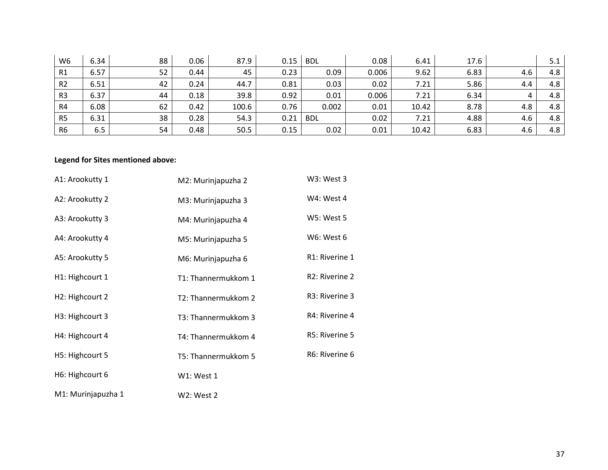| W <sub>6</sub> | 6.34 | 88 | 0.06 | 87.9  | 0.15 | <b>BDL</b> | 0.08  | 6.41  | 17.6 |     | 5.1 |
|----------------|------|----|------|-------|------|------------|-------|-------|------|-----|-----|
| R1             | 6.57 | 52 | 0.44 | 45    | 0.23 | 0.09       | 0.006 | 9.62  | 6.83 | 4.6 | 4.8 |
| R <sub>2</sub> | 6.51 | 42 | 0.24 | 44.7  | 0.81 | 0.03       | 0.02  | 7.21  | 5.86 | 4.4 | 4.8 |
| R <sub>3</sub> | 6.37 | 44 | 0.18 | 39.8  | 0.92 | 0.01       | 0.006 | 7.21  | 6.34 | 4   | 4.8 |
| R <sub>4</sub> | 6.08 | 62 | 0.42 | 100.6 | 0.76 | 0.002      | 0.01  | 10.42 | 8.78 | 4.8 | 4.8 |
| R <sub>5</sub> | 6.31 | 38 | 0.28 | 54.3  | 0.21 | <b>BDL</b> | 0.02  | 7.21  | 4.88 | 4.6 | 4.8 |
| R <sub>6</sub> | 6.5  | 54 | 0.48 | 50.5  | 0.15 | 0.02       | 0.01  | 10.42 | 6.83 | 4.6 | 4.8 |

#### **Legend for Sites mentioned above:**

| A1: Arookutty 1              | M2: Murinjapuzha 2  | W3: West 3                  |
|------------------------------|---------------------|-----------------------------|
| A2: Arookutty 2              | M3: Murinjapuzha 3  | W4: West 4                  |
| A3: Arookutty 3              | M4: Murinjapuzha 4  | <b>W5: West 5</b>           |
| A4: Arookutty 4              | M5: Murinjapuzha 5  | W6: West 6                  |
| A5: Arookutty 5              | M6: Murinjapuzha 6  | R1: Riverine 1              |
| H1: Highcourt 1              | T1: Thannermukkom 1 | R <sub>2</sub> : Riverine 2 |
| H2: Highcourt 2              | T2: Thannermukkom 2 | R3: Riverine 3              |
| H <sub>3</sub> : Highcourt 3 | T3: Thannermukkom 3 | R4: Riverine 4              |
| H4: Highcourt 4              | T4: Thannermukkom 4 | R5: Riverine 5              |
| H5: Highcourt 5              | T5: Thannermukkom 5 | R6: Riverine 6              |
| H6: Highcourt 6              | W1: West 1          |                             |
| M1: Murinjapuzha 1           | W2: West 2          |                             |